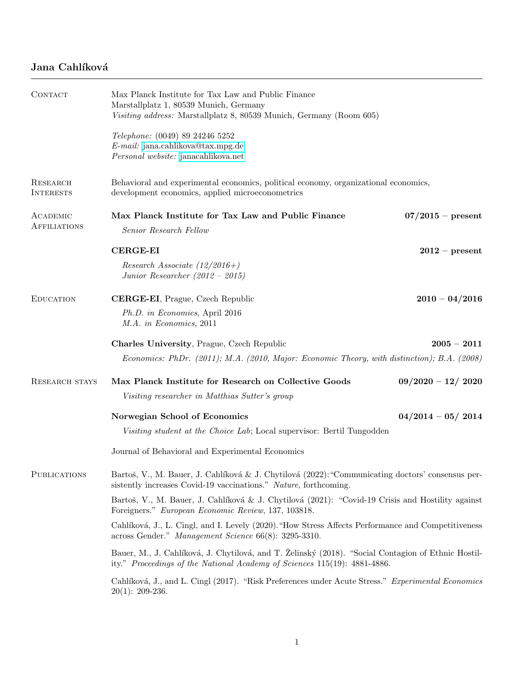## Jana Cahlíková

| CONTACT                         | Max Planck Institute for Tax Law and Public Finance<br>Marstallplatz 1, 80539 Munich, Germany<br>Visiting address: Marstallplatz 8, 80539 Munich, Germany (Room 605)            |                     |  |
|---------------------------------|---------------------------------------------------------------------------------------------------------------------------------------------------------------------------------|---------------------|--|
|                                 | Telephone: (0049) 89 24246 5252<br>E-mail: jana.cahlikova@tax.mpg.de<br>Personal website: janacahlikova.net                                                                     |                     |  |
| RESEARCH<br><b>INTERESTS</b>    | Behavioral and experimental economics, political economy, organizational economics,<br>development economics, applied microeconometrics                                         |                     |  |
| ACADEMIC<br><b>AFFILIATIONS</b> | Max Planck Institute for Tax Law and Public Finance<br>Senior Research Fellow                                                                                                   | $07/2015$ – present |  |
|                                 | <b>CERGE-EI</b>                                                                                                                                                                 | $2012$ – present    |  |
|                                 | Research Associate $(12/2016+)$<br>Junior Researcher $(2012 - 2015)$                                                                                                            |                     |  |
| <b>EDUCATION</b>                | <b>CERGE-EI</b> , Prague, Czech Republic                                                                                                                                        | $2010 - 04/2016$    |  |
|                                 | Ph.D. in Economics, April 2016<br>M.A. in Economics, 2011                                                                                                                       |                     |  |
|                                 | <b>Charles University, Prague, Czech Republic</b>                                                                                                                               | $2005 - 2011$       |  |
|                                 | Economics: PhDr. (2011); M.A. (2010, Major: Economic Theory, with distinction); B.A. (2008)                                                                                     |                     |  |
| <b>RESEARCH STAYS</b>           | Max Planck Institute for Research on Collective Goods                                                                                                                           | $09/2020 - 12/2020$ |  |
|                                 | Visiting researcher in Matthias Sutter's group                                                                                                                                  |                     |  |
|                                 | Norwegian School of Economics                                                                                                                                                   | $04/2014 - 05/2014$ |  |
|                                 | Visiting student at the Choice Lab; Local supervisor: Bertil Tungodden                                                                                                          |                     |  |
|                                 | Journal of Behavioral and Experimental Economics                                                                                                                                |                     |  |
| <b>PUBLICATIONS</b>             | Bartoš, V., M. Bauer, J. Cahlíková & J. Chytilová (2022): "Communicating doctors' consensus per-<br>sistently increases Covid-19 vaccinations." Nature, forthcoming.            |                     |  |
|                                 | Bartoš, V., M. Bauer, J. Cahlíková & J. Chytilová (2021): "Covid-19 Crisis and Hostility against<br>Foreigners." European Economic Review, 137, 103818.                         |                     |  |
|                                 | Cahlíková, J., L. Cingl, and I. Levely (2020). "How Stress Affects Performance and Competitiveness<br>across Gender." Management Science 66(8): 3295-3310.                      |                     |  |
|                                 | Bauer, M., J. Cahlíková, J. Chytilová, and T. Želinský (2018). "Social Contagion of Ethnic Hostil-<br>ity." Proceedings of the National Academy of Sciences 115(19): 4881-4886. |                     |  |
|                                 | Cahlíková, J., and L. Cingl (2017). "Risk Preferences under Acute Stress." Experimental Economics<br>$20(1): 209-236.$                                                          |                     |  |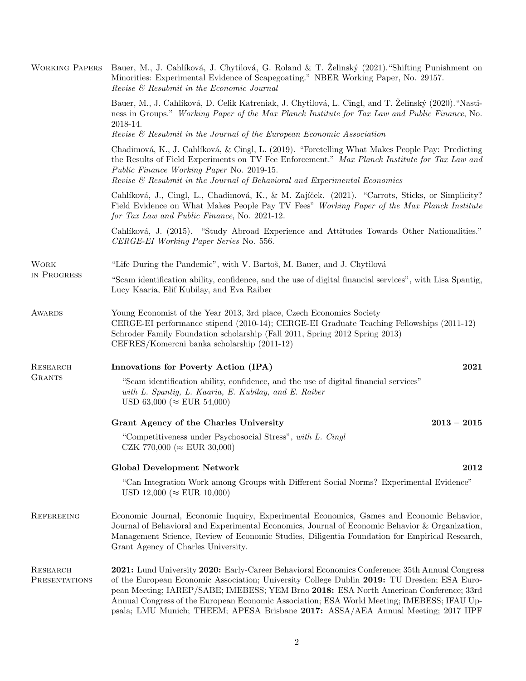| <b>WORKING PAPERS</b>            | Bauer, M., J. Cahlíková, J. Chytilová, G. Roland & T. Zelinský (2021). "Shifting Punishment on<br>Minorities: Experimental Evidence of Scapegoating." NBER Working Paper, No. 29157.<br>Revise & Resubmit in the Economic Journal                                                                                                                                                                                                                                         |  |
|----------------------------------|---------------------------------------------------------------------------------------------------------------------------------------------------------------------------------------------------------------------------------------------------------------------------------------------------------------------------------------------------------------------------------------------------------------------------------------------------------------------------|--|
|                                  | Bauer, M., J. Cahlíková, D. Celik Katreniak, J. Chytilová, L. Cingl, and T. Želinský (2020). "Nasti-<br>ness in Groups." Working Paper of the Max Planck Institute for Tax Law and Public Finance, No.<br>2018-14.<br>Revise & Resubmit in the Journal of the European Economic Association                                                                                                                                                                               |  |
|                                  | Chadimová, K., J. Cahlíková, & Cingl, L. (2019). "Foretelling What Makes People Pay: Predicting<br>the Results of Field Experiments on TV Fee Enforcement." Max Planck Institute for Tax Law and<br>Public Finance Working Paper No. 2019-15.<br>Revise & Resubmit in the Journal of Behavioral and Experimental Economics                                                                                                                                                |  |
|                                  | Cahlíková, J., Cingl, L., Chadimová, K., & M. Zajíček. (2021). "Carrots, Sticks, or Simplicity?<br>Field Evidence on What Makes People Pay TV Fees" Working Paper of the Max Planck Institute<br>for Tax Law and Public Finance, No. 2021-12.                                                                                                                                                                                                                             |  |
|                                  | Cahlíková, J. (2015). "Study Abroad Experience and Attitudes Towards Other Nationalities."<br>CERGE-EI Working Paper Series No. 556.                                                                                                                                                                                                                                                                                                                                      |  |
| <b>WORK</b><br>IN PROGRESS       | "Life During the Pandemic", with V. Bartoš, M. Bauer, and J. Chytilová                                                                                                                                                                                                                                                                                                                                                                                                    |  |
|                                  | "Scam identification ability, confidence, and the use of digital financial services", with Lisa Spantig,<br>Lucy Kaaria, Elif Kubilay, and Eva Raiber                                                                                                                                                                                                                                                                                                                     |  |
| <b>AWARDS</b>                    | Young Economist of the Year 2013, 3rd place, Czech Economics Society<br>CERGE-EI performance stipend (2010-14); CERGE-EI Graduate Teaching Fellowships (2011-12)<br>Schroder Family Foundation scholarship (Fall 2011, Spring 2012 Spring 2013)<br>CEFRES/Komercni banka scholarship (2011-12)                                                                                                                                                                            |  |
| RESEARCH<br><b>GRANTS</b>        | Innovations for Poverty Action (IPA)<br>2021                                                                                                                                                                                                                                                                                                                                                                                                                              |  |
|                                  | "Scam identification ability, confidence, and the use of digital financial services"<br>with L. Spantig, L. Kaaria, E. Kubilay, and E. Raiber<br>USD 63,000 ( $\approx$ EUR 54,000)                                                                                                                                                                                                                                                                                       |  |
|                                  | Grant Agency of the Charles University<br>$2013 - 2015$                                                                                                                                                                                                                                                                                                                                                                                                                   |  |
|                                  | "Competitiveness under Psychosocial Stress", with L. Cingl<br>CZK 770,000 ( $\approx$ EUR 30,000)                                                                                                                                                                                                                                                                                                                                                                         |  |
|                                  | <b>Global Development Network</b><br>2012                                                                                                                                                                                                                                                                                                                                                                                                                                 |  |
|                                  | "Can Integration Work among Groups with Different Social Norms? Experimental Evidence"<br>USD 12,000 ( $\approx$ EUR 10,000)                                                                                                                                                                                                                                                                                                                                              |  |
| REFEREEING                       | Economic Journal, Economic Inquiry, Experimental Economics, Games and Economic Behavior,<br>Journal of Behavioral and Experimental Economics, Journal of Economic Behavior & Organization,<br>Management Science, Review of Economic Studies, Diligentia Foundation for Empirical Research,<br>Grant Agency of Charles University.                                                                                                                                        |  |
| RESEARCH<br><b>PRESENTATIONS</b> | 2021: Lund University 2020: Early-Career Behavioral Economics Conference; 35th Annual Congress<br>of the European Economic Association; University College Dublin 2019: TU Dresden; ESA Euro-<br>pean Meeting; IAREP/SABE; IMEBESS; YEM Brno 2018: ESA North American Conference; 33rd<br>Annual Congress of the European Economic Association; ESA World Meeting; IMEBESS; IFAU Up-<br>psala; LMU Munich; THEEM; APESA Brisbane 2017: ASSA/AEA Annual Meeting; 2017 IIPF |  |